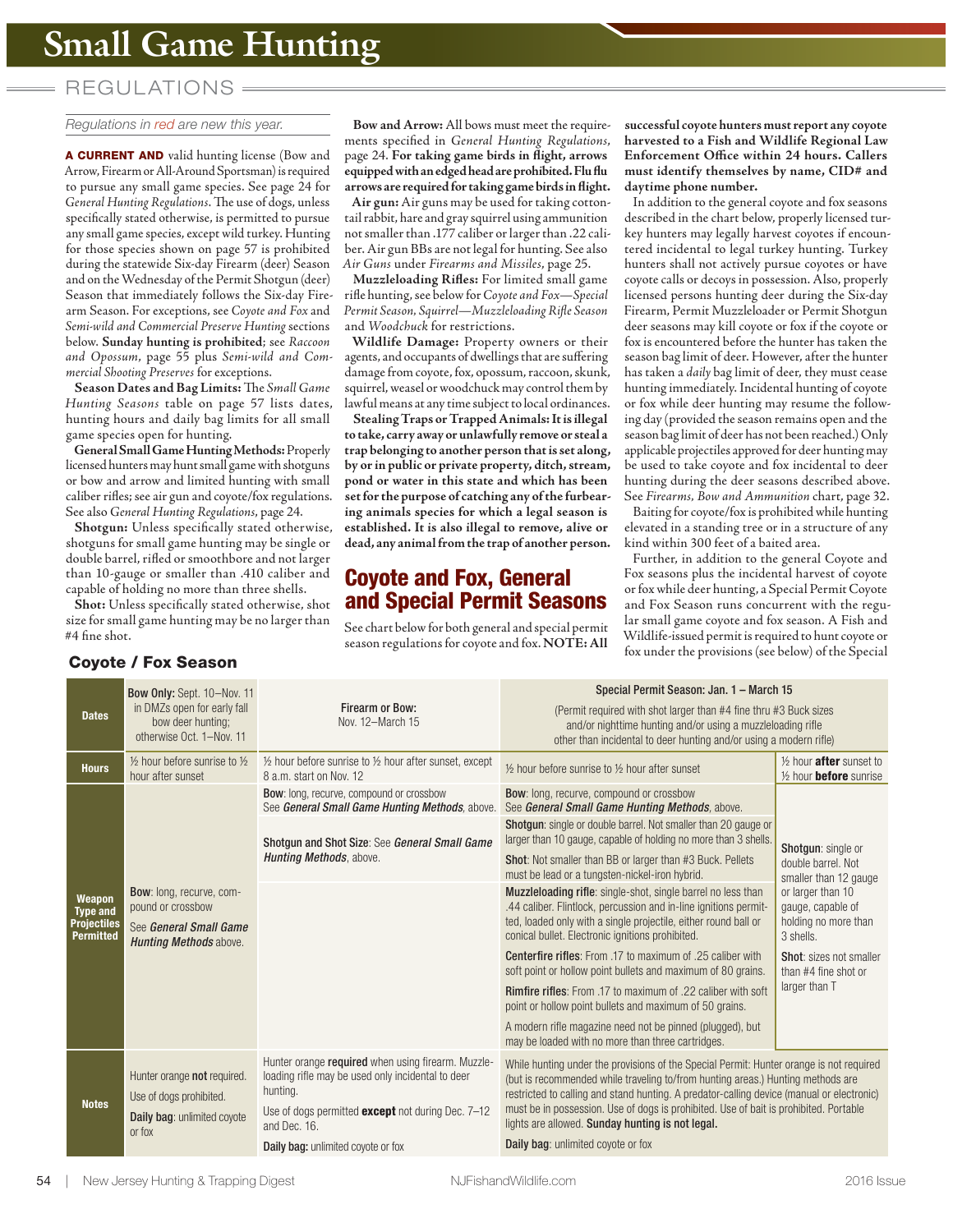# REGUL ATIONS

### Regulations in red are new this year.

**A CURRENT AND** valid hunting license (Bow and Arrow, Firearm or All-Around Sportsman) is required to pursue any small game species. See page 24 for *General Hunting Regulations*. The use of dogs, unless specifically stated otherwise, is permitted to pursue any small game species, except wild turkey. Hunting for those species shown on page 57 is prohibited during the statewide Six-day Firearm (deer) Season and on the Wednesday of the Permit Shotgun (deer) Season that immediately follows the Six-day Firearm Season. For exceptions, see *Coyote and Fox* and *Semi-wild and Commercial Preserve Hunting* sections below. **Sunday hunting is prohibited**; see *Raccoon and Opossum*, page 55 plus *Semi-wild and Commercial Shooting Preserves* for exceptions.

**Season Dates and Bag Limits:** The *Small Game Hunting Seasons* table on page 57 lists dates, hunting hours and daily bag limits for all small game species open for hunting.

**General Small Game Hunting Methods:** Properly licensed hunters may hunt small game with shotguns or bow and arrow and limited hunting with small caliber rifles; see air gun and coyote/fox regulations. See also *General Hunting Regulations*, page 24.

**Shotgun:** Unless specifically stated otherwise, shotguns for small game hunting may be single or double barrel, rifled or smoothbore and not larger than 10-gauge or smaller than .410 caliber and capable of holding no more than three shells.

**Shot:** Unless specifically stated otherwise, shot size for small game hunting may be no larger than #4 fine shot.

**Bow and Arrow:** All bows must meet the requirements specified in *General Hunting Regulations*, page 24. **For taking game birds in flight, arrows equipped with an edged head are prohibited. Flu flu arrows are required for taking game birds in flight.**

**Air gun:** Air guns may be used for taking cottontail rabbit, hare and gray squirrel using ammunition not smaller than .177 caliber or larger than .22 caliber. Air gun BBs are not legal for hunting. See also *Air Guns* under *Firearms and Missiles*, page 25.

**Muzzleloading Rifles:** For limited small game rifle hunting, see below for *Coyote and Fox—Special Permit Season, Squirrel—Muzzleloading Rifle Season* and *Woodchuck* for restrictions.

**Wildlife Damage:** Property owners or their agents, and occupants of dwellings that are suffering damage from coyote, fox, opossum, raccoon, skunk, squirrel, weasel or woodchuck may control them by lawful means at any time subject to local ordinances.

**Stealing Traps or Trapped Animals: It is illegal to take, carry away or unlawfully remove or steal a trap belonging to another person that is set along, by or in public or private property, ditch, stream, pond or water in this state and which has been set for the purpose of catching any of the furbearing animals species for which a legal season is established. It is also illegal to remove, alive or dead, any animal from the trap of another person.**

## **Coyote and Fox, General and Special Permit Seasons**

See chart below for both general and special permit season regulations for coyote and fox. **NOTE: All**  **successful coyote hunters must report any coyote harvested to a Fish and Wildlife Regional Law Enforcement Office within 24 hours. Callers must identify themselves by name, CID# and daytime phone number.** 

In addition to the general coyote and fox seasons described in the chart below, properly licensed turkey hunters may legally harvest coyotes if encountered incidental to legal turkey hunting. Turkey hunters shall not actively pursue coyotes or have coyote calls or decoys in possession. Also, properly licensed persons hunting deer during the Six-day Firearm, Permit Muzzleloader or Permit Shotgun deer seasons may kill coyote or fox if the coyote or fox is encountered before the hunter has taken the season bag limit of deer. However, after the hunter has taken a *daily* bag limit of deer, they must cease hunting immediately. Incidental hunting of coyote or fox while deer hunting may resume the following day (provided the season remains open and the season bag limit of deer has not been reached.) Only applicable projectiles approved for deer hunting may be used to take coyote and fox incidental to deer hunting during the deer seasons described above. See *Firearms, Bow and Ammunition* chart, page 32.

Baiting for coyote/fox is prohibited while hunting elevated in a standing tree or in a structure of any kind within 300 feet of a baited area.

Further, in addition to the general Coyote and Fox seasons plus the incidental harvest of coyote or fox while deer hunting, a Special Permit Coyote and Fox Season runs concurrent with the regular small game coyote and fox season. A Fish and Wildlife-issued permit is required to hunt coyote or **Coyote / Fox Season Constitutions for coyote and local Textam** fox under the provisions (see below) of the Special

|                                                                     | Bow Only: Sept. 10-Nov. 11                                                                        | Firearm or Bow:<br>Nov. 12-March 15                                                                                                                                                             | Special Permit Season: Jan. 1 - March 15                                                                                                                                                                                                                                                                                                                                                                                                                          |                                                                             |  |
|---------------------------------------------------------------------|---------------------------------------------------------------------------------------------------|-------------------------------------------------------------------------------------------------------------------------------------------------------------------------------------------------|-------------------------------------------------------------------------------------------------------------------------------------------------------------------------------------------------------------------------------------------------------------------------------------------------------------------------------------------------------------------------------------------------------------------------------------------------------------------|-----------------------------------------------------------------------------|--|
| <b>Dates</b>                                                        | in DMZs open for early fall<br>bow deer hunting:<br>otherwise Oct. 1-Nov. 11                      |                                                                                                                                                                                                 | (Permit required with shot larger than #4 fine thru #3 Buck sizes<br>and/or nighttime hunting and/or using a muzzleloading rifle<br>other than incidental to deer hunting and/or using a modern rifle)                                                                                                                                                                                                                                                            |                                                                             |  |
| <b>Hours</b>                                                        | $\frac{1}{2}$ hour before sunrise to $\frac{1}{2}$<br>hour after sunset                           | 1/2 hour before sunrise to 1/2 hour after sunset, except<br>8 a.m. start on Nov. 12                                                                                                             | 1/2 hour before sunrise to 1/2 hour after sunset                                                                                                                                                                                                                                                                                                                                                                                                                  | 1/2 hour after sunset to<br>$\frac{1}{2}$ hour <b>before</b> sunrise        |  |
| Weapon<br><b>Type and</b><br><b>Projectiles</b><br><b>Permitted</b> | Bow: long, recurve, com-<br>pound or crossbow<br>See General Small Game<br>Hunting Methods above. | <b>Bow:</b> long, recurve, compound or crossbow<br>See General Small Game Hunting Methods, above.                                                                                               | <b>Bow:</b> long, recurve, compound or crossbow<br>See General Small Game Hunting Methods, above.                                                                                                                                                                                                                                                                                                                                                                 |                                                                             |  |
|                                                                     |                                                                                                   | Shotqun and Shot Size: See General Small Game<br><b>Hunting Methods, above.</b>                                                                                                                 | <b>Shotqun:</b> single or double barrel. Not smaller than 20 gauge or<br>larger than 10 gauge, capable of holding no more than 3 shells.                                                                                                                                                                                                                                                                                                                          | Shotqun: single or<br>double barrel. Not<br>smaller than 12 gauge           |  |
|                                                                     |                                                                                                   |                                                                                                                                                                                                 | <b>Shot:</b> Not smaller than BB or larger than #3 Buck. Pellets<br>must be lead or a tungsten-nickel-iron hybrid.                                                                                                                                                                                                                                                                                                                                                |                                                                             |  |
|                                                                     |                                                                                                   |                                                                                                                                                                                                 | <b>Muzzleloading rifle:</b> single-shot, single barrel no less than<br>.44 caliber. Flintlock, percussion and in-line ignitions permit-<br>ted, loaded only with a single projectile, either round ball or<br>conical bullet. Electronic ignitions prohibited.                                                                                                                                                                                                    | or larger than 10<br>gauge, capable of<br>holding no more than<br>3 shells. |  |
|                                                                     |                                                                                                   |                                                                                                                                                                                                 | Centerfire rifles: From .17 to maximum of .25 caliber with<br>soft point or hollow point bullets and maximum of 80 grains.                                                                                                                                                                                                                                                                                                                                        | Shot: sizes not smaller<br>than #4 fine shot or<br>larger than T            |  |
|                                                                     |                                                                                                   |                                                                                                                                                                                                 | <b>Rimfire rifles:</b> From .17 to maximum of .22 caliber with soft<br>point or hollow point bullets and maximum of 50 grains.                                                                                                                                                                                                                                                                                                                                    |                                                                             |  |
|                                                                     |                                                                                                   |                                                                                                                                                                                                 | A modern rifle magazine need not be pinned (plugged), but<br>may be loaded with no more than three cartridges.                                                                                                                                                                                                                                                                                                                                                    |                                                                             |  |
| <b>Notes</b>                                                        | Hunter orange not required.<br>Use of dogs prohibited.<br>Daily bag: unlimited coyote<br>or fox   | Hunter orange required when using firearm. Muzzle-<br>loading rifle may be used only incidental to deer<br>hunting.<br>Use of dogs permitted <b>except</b> not during Dec. 7-12<br>and Dec. 16. | While hunting under the provisions of the Special Permit: Hunter orange is not required<br>(but is recommended while traveling to/from hunting areas.) Hunting methods are<br>restricted to calling and stand hunting. A predator-calling device (manual or electronic)<br>must be in possession. Use of dogs is prohibited. Use of bait is prohibited. Portable<br>lights are allowed. Sunday hunting is not legal.<br><b>Daily bag:</b> unlimited coyote or fox |                                                                             |  |
|                                                                     |                                                                                                   | Daily bag: unlimited coyote or fox                                                                                                                                                              |                                                                                                                                                                                                                                                                                                                                                                                                                                                                   |                                                                             |  |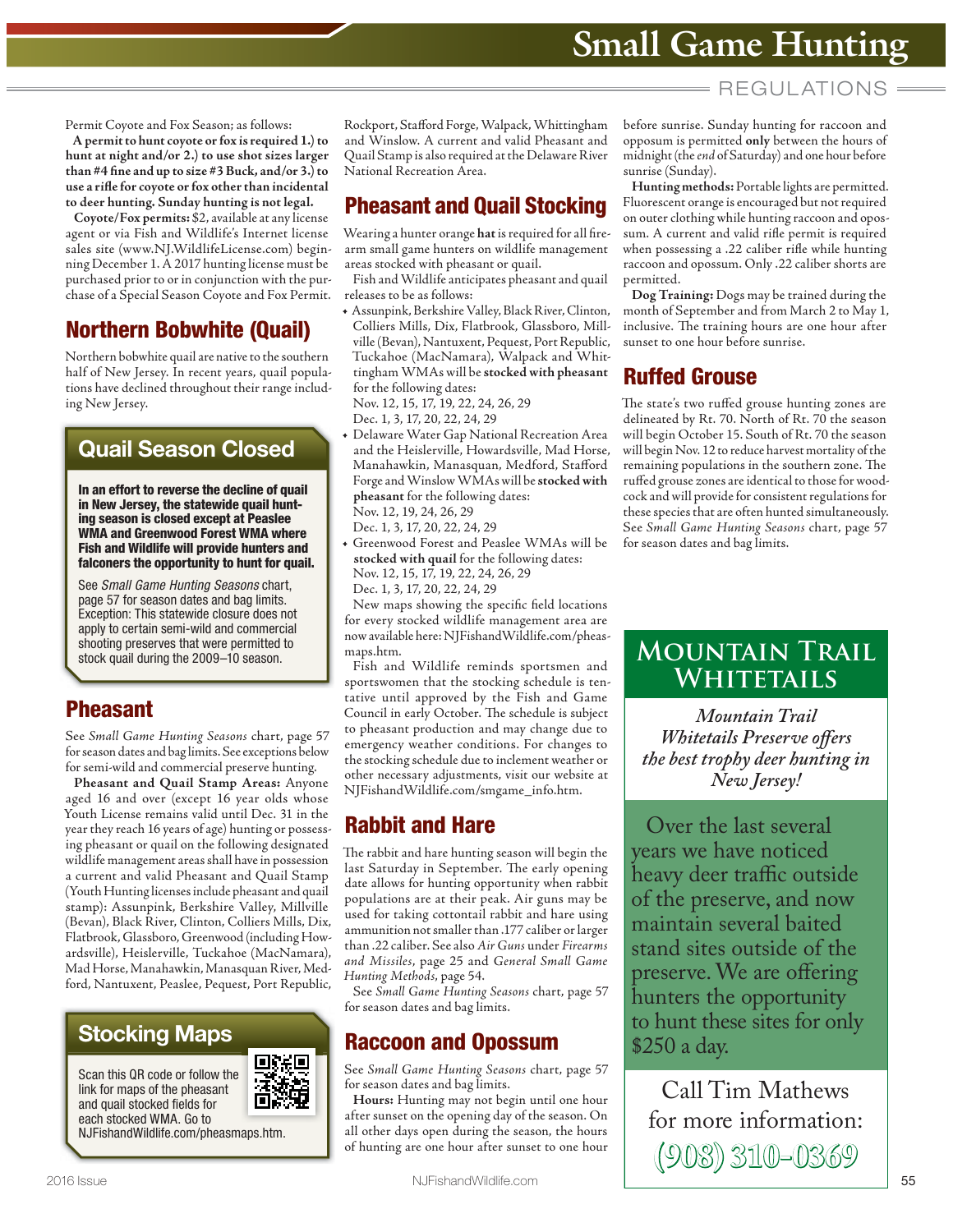# REGUL ATIONS

Permit Coyote and Fox Season; as follows:

**A permit to hunt coyote or fox is required 1.) to hunt at night and/or 2.) to use shot sizes larger than #4 fine and up to size #3 Buck, and/or 3.) to use a rifle for coyote or fox other than incidental to deer hunting. Sunday hunting is not legal.**

**Coyote/Fox permits:** \$2, available at any license agent or via Fish and Wildlife's Internet license sales site (www.NJ.WildlifeLicense.com) beginning December 1. A 2017 hunting license must be purchased prior to or in conjunction with the purchase of a Special Season Coyote and Fox Permit.

# **Northern Bobwhite (Quail)**

Northern bobwhite quail are native to the southern half of New Jersey. In recent years, quail populations have declined throughout their range including New Jersey.

# **Quail Season Closed**

**In an effort to reverse the decline of quail in New Jersey, the statewide quail hunting season is closed except at Peaslee WMA and Greenwood Forest WMA where Fish and Wildlife will provide hunters and falconers the opportunity to hunt for quail.** 

See Small Game Hunting Seasons chart, page 57 for season dates and bag limits. Exception: This statewide closure does not apply to certain semi-wild and commercial shooting preserves that were permitted to stock quail during the 2009–10 season.

# **Pheasant**

See *Small Game Hunting Seasons* chart, page 57 for season dates and bag limits. See exceptions below for semi-wild and commercial preserve hunting.

**Pheasant and Quail Stamp Areas:** Anyone aged 16 and over (except 16 year olds whose Youth License remains valid until Dec. 31 in the year they reach 16 years of age) hunting or possessing pheasant or quail on the following designated wildlife management areas shall have in possession a current and valid Pheasant and Quail Stamp (Youth Hunting licenses include pheasant and quail stamp): Assunpink, Berkshire Valley, Millville (Bevan), Black River, Clinton, Colliers Mills, Dix, Flatbrook, Glassboro, Greenwood (including Howardsville), Heislerville, Tuckahoe (MacNamara), Mad Horse, Manahawkin, Manasquan River, Medford, Nantuxent, Peaslee, Pequest, Port Republic,

# **Stocking Maps**

Scan this QR code or follow the link for maps of the pheasant and quail stocked fields for each stocked WMA. Go to



NJFishandWildlife.com/pheasmaps.htm.

Rockport, Stafford Forge, Walpack, Whittingham and Winslow. A current and valid Pheasant and Quail Stamp is also required at the Delaware River National Recreation Area.

# **Pheasant and Quail Stocking**

Wearing a hunter orange **hat** is required for all firearm small game hunters on wildlife management areas stocked with pheasant or quail.

Fish and Wildlife anticipates pheasant and quail releases to be as follows:

**•** Assunpink, Berkshire Valley, Black River, Clinton, Colliers Mills, Dix, Flatbrook, Glassboro, Millville (Bevan), Nantuxent, Pequest, Port Republic, Tuckahoe (MacNamara), Walpack and Whittingham WMAs will be **stocked with pheasant** for the following dates:

Nov. 12, 15, 17, 19, 22, 24, 26, 29 Dec. 1, 3, 17, 20, 22, 24, 29

**•** Delaware Water Gap National Recreation Area and the Heislerville, Howardsville, Mad Horse, Manahawkin, Manasquan, Medford, Stafford Forge and Winslow WMAs will be **stocked with pheasant** for the following dates: Nov. 12, 19, 24, 26, 29

Dec. 1, 3, 17, 20, 22, 24, 29

**•** Greenwood Forest and Peaslee WMAs will be **stocked with quail** for the following dates: Nov. 12, 15, 17, 19, 22, 24, 26, 29 Dec. 1, 3, 17, 20, 22, 24, 29

New maps showing the specific field locations for every stocked wildlife management area are now available here: NJFishandWildlife.com/pheasmaps.htm.

Fish and Wildlife reminds sportsmen and sportswomen that the stocking schedule is tentative until approved by the Fish and Game Council in early October. The schedule is subject to pheasant production and may change due to emergency weather conditions. For changes to the stocking schedule due to inclement weather or other necessary adjustments, visit our website at NJFishandWildlife.com/smgame\_info.htm.

# **Rabbit and Hare**

The rabbit and hare hunting season will begin the last Saturday in September. The early opening date allows for hunting opportunity when rabbit populations are at their peak. Air guns may be used for taking cottontail rabbit and hare using ammunition not smaller than .177 caliber or larger than .22 caliber. See also *Air Guns* under *Firearms and Missiles*, page 25 and *General Small Game Hunting Methods*, page 54.

See *Small Game Hunting Seasons* chart, page 57 for season dates and bag limits.

# **Raccoon and Opossum**

See *Small Game Hunting Seasons* chart, page 57 for season dates and bag limits.

**Hours:** Hunting may not begin until one hour after sunset on the opening day of the season. On all other days open during the season, the hours of hunting are one hour after sunset to one hour before sunrise. Sunday hunting for raccoon and opposum is permitted **only** between the hours of midnight (the *end* of Saturday) and one hour before sunrise (Sunday).

**Hunting methods:** Portable lights are permitted. Fluorescent orange is encouraged but not required on outer clothing while hunting raccoon and opossum. A current and valid rifle permit is required when possessing a .22 caliber rifle while hunting raccoon and opossum. Only .22 caliber shorts are permitted.

**Dog Training:** Dogs may be trained during the month of September and from March 2 to May 1, inclusive. The training hours are one hour after sunset to one hour before sunrise.

# **Ruffed Grouse**

The state's two ruffed grouse hunting zones are delineated by Rt. 70. North of Rt. 70 the season will begin October 15. South of Rt. 70 the season will begin Nov. 12 to reduce harvest mortality of the remaining populations in the southern zone. The ruffed grouse zones are identical to those for woodcock and will provide for consistent regulations for these species that are often hunted simultaneously. See *Small Game Hunting Seasons* chart, page 57 for season dates and bag limits.

# **MOUNTAIN TRAIL WHITETAILS**

*Mountain Trail Whitetails Preserve offers the best trophy deer hunting in New Jersey!* **M Whitehold** 

Over the last several years we have noticed heavy deer traffic outside of the preserve, and now maintain several baited stand sites outside of the preserve. We are offering hunters the opportunity to hunt these sites for only \$250 a day.

Call Tim Mathews for more information: **(908) 310-0369**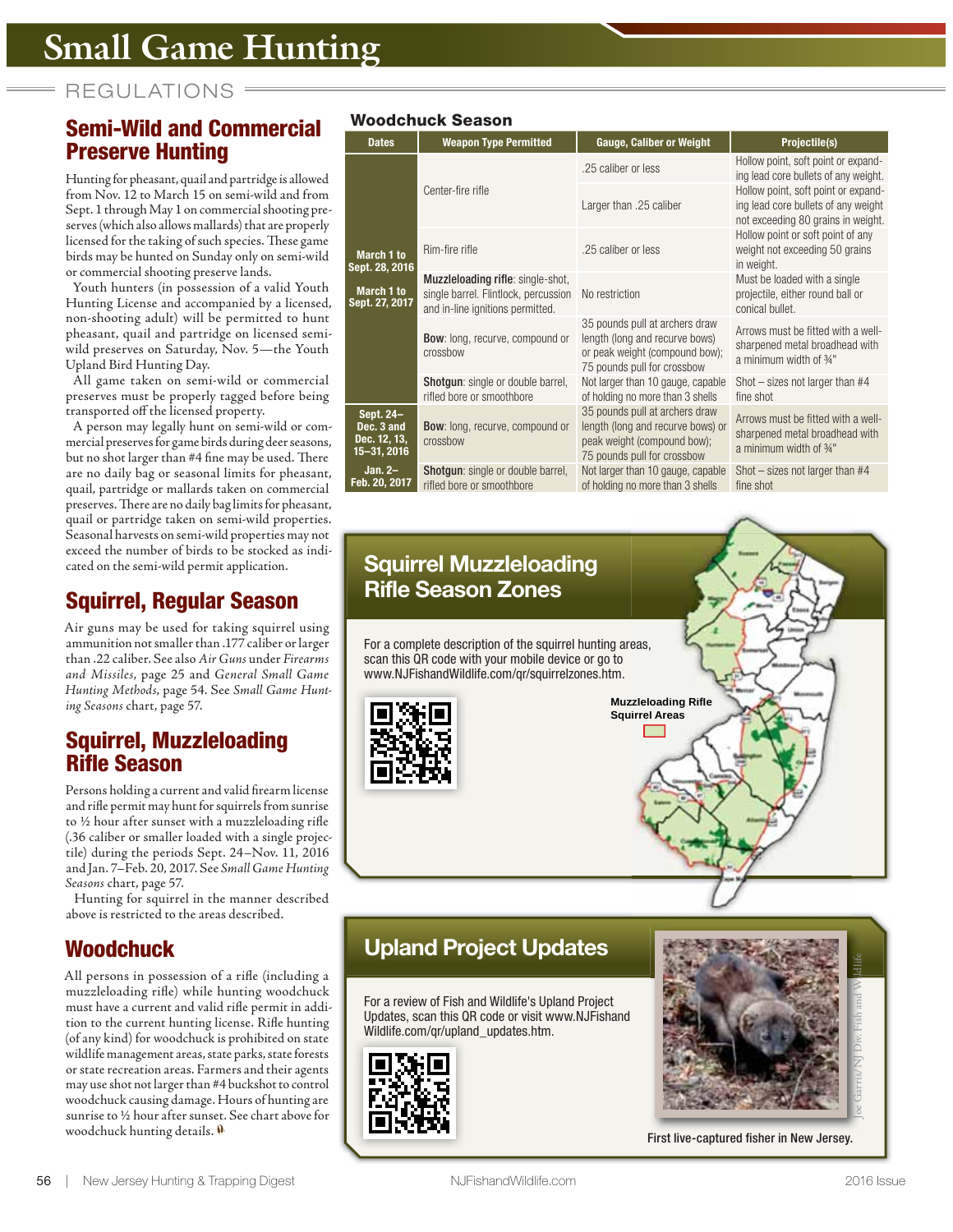REGULATIONS =

# **Semi-Wild and Commercial Preserve Hunting**

Hunting for pheasant, quail and partridge is allowed from Nov. 12 to March 15 on semi-wild and from Sept. 1 through May 1 on commercial shooting preserves (which also allows mallards) that are properly licensed for the taking of such species. These game birds may be hunted on Sunday only on semi-wild or commercial shooting preserve lands.

Youth hunters (in possession of a valid Youth Hunting License and accompanied by a licensed, non-shooting adult) will be permitted to hunt pheasant, quail and partridge on licensed semiwild preserves on Saturday, Nov. 5—the Youth Upland Bird Hunting Day.

All game taken on semi-wild or commercial preserves must be properly tagged before being transported off the licensed property.

A person may legally hunt on semi-wild or commercial preserves for game birds during deer seasons, but no shot larger than #4 fine may be used. There are no daily bag or seasonal limits for pheasant, quail, partridge or mallards taken on commercial preserves. There are no daily bag limits for pheasant, quail or partridge taken on semi-wild properties. Seasonal harvests on semi-wild properties may not exceed the number of birds to be stocked as indicated on the semi-wild permit application.

# **Squirrel, Regular Season**

Air guns may be used for taking squirrel using ammunition not smaller than .177 caliber or larger than .22 caliber. See also *Air Guns* under *Firearms and Missiles*, page 25 and *General Small Game Hunting Methods*, page 54. See *Small Game Hunting Seasons* chart, page 57.

# **Squirrel, Muzzleloading Rifle Season**

Persons holding a current and valid firearm license and rifle permit may hunt for squirrels from sunrise to ½ hour after sunset with a muzzleloading rifle (.36 caliber or smaller loaded with a single projectile) during the periods Sept. 24–Nov. 11, 2016 and Jan. 7–Feb. 20, 2017. See *Small Game Hunting Seasons* chart, page 57.

Hunting for squirrel in the manner described above is restricted to the areas described.

# **Woodchuck**

All persons in possession of a rifle (including a muzzleloading rifle) while hunting woodchuck must have a current and valid rifle permit in addition to the current hunting license. Rifle hunting (of any kind) for woodchuck is prohibited on state wildlife management areas, state parks, state forests or state recreation areas. Farmers and their agents may use shot not larger than #4 buckshot to control woodchuck causing damage. Hours of hunting are sunrise to ½ hour after sunset. See chart above for woodchuck hunting details.

## **Woodchuck Season**

| wuuuchuch Jeasuh                                       |                                                                                                               |                                                                                                                                   |                                                                                                                  |  |  |  |  |
|--------------------------------------------------------|---------------------------------------------------------------------------------------------------------------|-----------------------------------------------------------------------------------------------------------------------------------|------------------------------------------------------------------------------------------------------------------|--|--|--|--|
| <b>Dates</b>                                           | <b>Weapon Type Permitted</b>                                                                                  | <b>Gauge, Caliber or Weight</b>                                                                                                   | Projectile(s)                                                                                                    |  |  |  |  |
|                                                        |                                                                                                               | .25 caliber or less                                                                                                               | Hollow point, soft point or expand-<br>ing lead core bullets of any weight.                                      |  |  |  |  |
| March 1 to<br>Sept. 28, 2016                           | Center-fire rifle                                                                                             | Larger than .25 caliber                                                                                                           | Hollow point, soft point or expand-<br>ing lead core bullets of any weight<br>not exceeding 80 grains in weight. |  |  |  |  |
|                                                        | Rim-fire rifle                                                                                                | .25 caliber or less                                                                                                               | Hollow point or soft point of any<br>weight not exceeding 50 grains<br>in weight.                                |  |  |  |  |
| March 1 to<br>Sept. 27, 2017                           | Muzzleloading rifle: single-shot,<br>single barrel. Flintlock, percussion<br>and in-line ignitions permitted. | No restriction                                                                                                                    | Must be loaded with a single<br>projectile, either round ball or<br>conical bullet.                              |  |  |  |  |
|                                                        | <b>Bow:</b> long, recurve, compound or<br>crossbow                                                            | 35 pounds pull at archers draw<br>length (long and recurve bows)<br>or peak weight (compound bow);<br>75 pounds pull for crossbow | Arrows must be fitted with a well-<br>sharpened metal broadhead with<br>a minimum width of 34"                   |  |  |  |  |
|                                                        | <b>Shotqun:</b> single or double barrel,<br>rifled bore or smoothbore                                         | Not larger than 10 gauge, capable<br>of holding no more than 3 shells                                                             | Shot $-$ sizes not larger than $#4$<br>fine shot                                                                 |  |  |  |  |
| Sept. 24-<br>Dec. 3 and<br>Dec. 12, 13,<br>15-31, 2016 | <b>Bow:</b> long, recurve, compound or<br>crossbow                                                            | 35 pounds pull at archers draw<br>length (long and recurve bows) or<br>peak weight (compound bow);<br>75 pounds pull for crossbow | Arrows must be fitted with a well-<br>sharpened metal broadhead with<br>a minimum width of 34"                   |  |  |  |  |
| Jan. $2-$<br>Feb. 20, 2017                             | <b>Shotqun:</b> single or double barrel,<br>rifled bore or smoothbore                                         | Not larger than 10 gauge, capable<br>of holding no more than 3 shells                                                             | Shot $-$ sizes not larger than $#4$<br>fine shot                                                                 |  |  |  |  |

# **Squirrel Muzzleloading Rifle Season Zones Muzzleloading Rifle zzleloading Squirrel Areas For a complete description of the squirrel hunting areas,**<br>
scan this QR code with your mobile device or go to<br>
www.NJFishandWildlife.com/qr/squirrelzones.htm.<br> **interpreterably on the complete of the squirrel** scan this QR code with your mobile device or go to www.NJFishandWildlife.com/qr/squirrelzones.htm.

# **Upland Project Updates**

For a review of Fish and Wildlife's Upland Project Updates, scan this QR code or visit www.NJFishand Wildlife.com/qr/upland\_updates.htm.





First live-captured fisher in New Jersey.